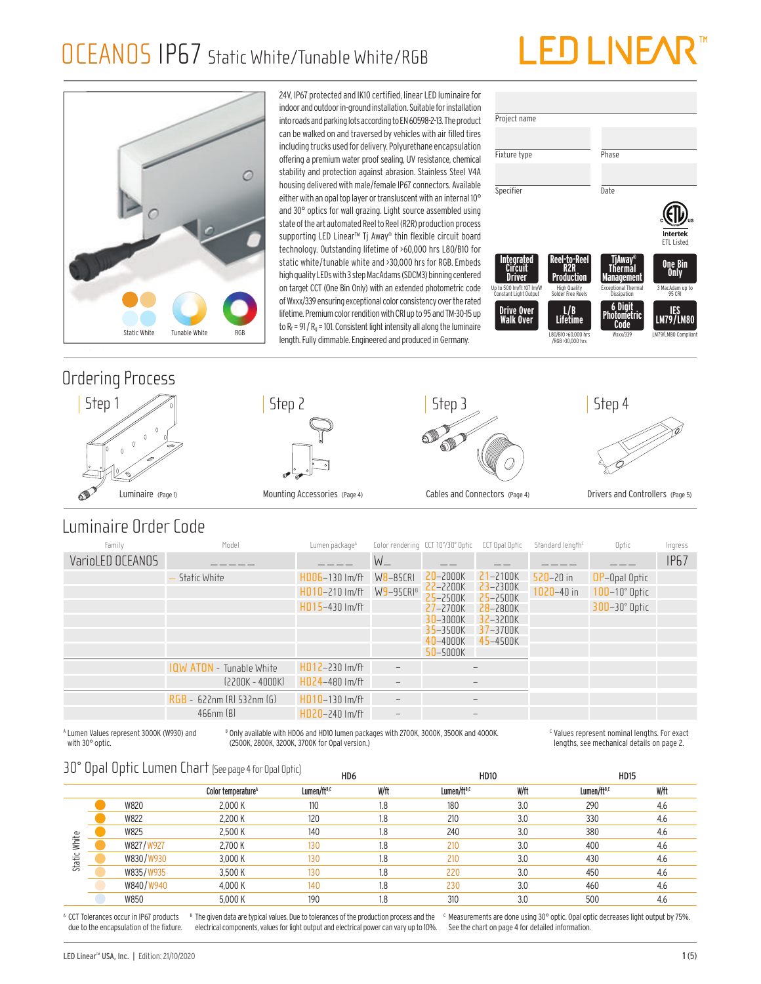### OCEANOS IP67 Static White/Tunable White/RGB

# LED LINE/

Project name

**Integrated Circuit Driver**

Up to 500 lm/ft 107 lm/W Constant Light Output

**Drive Over Walk Over**

Fixture type Phase

Specifier Date

**Reel-to-Reel R2R Production**

High Quality Solder Free Reels

**L / B Lifetime**

L80/B10 >60,000 hrs /RGB >30,000 hrs



#### OCEANOS IP67 OCEANOS IP67 Ordering Process









**TjAway® Thermal Management**

Exceptional Thermal Dissipation

**6 Digit Photometric Code**

**ETL Listed** 

Intertek

**One Bin Only**

3 MacAdam up to 95 CRI

**IES LM79 / LM80**

W79/LM80 Com

Luminaire (Page 1) Mounting Accessories (Page 4) Cables and Connectors (Page 4) Drivers and Controllers (Page 5)

#### Luminaire Order Code

| Family           | Model                           | Lumen package <sup>A</sup>                               |                             | Color rendering CCT 10°/30° Optic                                                                | <b>CCT Opal Optic</b>                                                                                            | Standard length <sup>c</sup>    | Optic                                                             | Ingress     |
|------------------|---------------------------------|----------------------------------------------------------|-----------------------------|--------------------------------------------------------------------------------------------------|------------------------------------------------------------------------------------------------------------------|---------------------------------|-------------------------------------------------------------------|-------------|
| VarioLED OCEANOS |                                 |                                                          | $W_{-}$                     |                                                                                                  |                                                                                                                  |                                 |                                                                   | <b>IP67</b> |
|                  | Static White                    | $HD06-130$ Im/ft<br>$HD10-210$ lm/ft<br>$HD15-430$ Im/ft | $W8 - 85CRI$<br>$W9-95CRIB$ | $20 - 2000K$<br>22-2200K<br>25-2500K<br>$27 - 2700K$<br>$30 - 3000K$<br>35-3500K<br>$40 - 4000K$ | $21 - 2100K$<br>$23 - 2300K$<br><b>25</b> –2500K<br>$28 - 2800K$<br>$32 - 3200K$<br>$37 - 3700K$<br>$45 - 4500K$ | $520 - 20$ in<br>$1020 - 40$ in | <b>OP-Opal Optic</b><br>$10D-10°$ Optic<br>$300 - 30^\circ$ Optic |             |
|                  |                                 |                                                          |                             | $50 - 5000K$                                                                                     |                                                                                                                  |                                 |                                                                   |             |
|                  | <b>IQW ATON</b> - Tunable White | $HD12-230$ Im/ft                                         |                             |                                                                                                  | $\overline{\phantom{m}}$                                                                                         |                                 |                                                                   |             |
|                  | $[2200K - 4000K]$               | HD24-480 Im/ft                                           | $\overline{\phantom{m}}$    |                                                                                                  | $\qquad \qquad -$                                                                                                |                                 |                                                                   |             |
|                  | RGB - 622nm (R) 532nm (G)       | $HD10-130$ $Im/ft$                                       | $\overline{\phantom{m}}$    |                                                                                                  | $\overline{\phantom{m}}$                                                                                         |                                 |                                                                   |             |
|                  | $466$ nm $[B]$                  | $HDZ0-240$ Im/ft                                         | $\overline{\phantom{m}}$    |                                                                                                  | $\overline{\phantom{m}}$                                                                                         |                                 |                                                                   |             |
|                  |                                 |                                                          |                             |                                                                                                  |                                                                                                                  |                                 |                                                                   |             |

A Lumen Values represent 3000K (W930) and B Only available with HD06 and HD10 lumen packages with 2700K, 3000K, 3500K and 4000K. (2500K, 2800K, 3200K, 3700K for Opal version.)

 $\epsilon$  Values represent nominal lengths. For exact lengths, see mechanical details on page 2.

#### 30° Opal Optic Lumen Chart (See page 4 for Opal Optic)

|        | ----- |           | price matricial attains peepede that open oping |                         | HD <sub>6</sub> | <b>HD10</b>             |      | <b>HD15</b>             |      |
|--------|-------|-----------|-------------------------------------------------|-------------------------|-----------------|-------------------------|------|-------------------------|------|
|        |       |           | Color temperature <sup>A</sup>                  | Lumen/ft <sup>B,C</sup> | W/ft            | Lumen/ft <sup>B,C</sup> | W/ft | Lumen/ft <sup>B,C</sup> | W/ft |
|        |       | W820      | 2,000 K                                         | 110                     | 1.8             | 180                     | 3.0  | 290                     | 4.6  |
|        |       | W822      | 2,200 K                                         | 120                     | 1.8             | 210                     | 3.0  | 330                     | 4.6  |
|        |       | W825      | 2.500 K                                         | 140                     | 1.8             | 240                     | 3.0  | 380                     | 4.6  |
| White  |       | W827/W927 | 2.700 K                                         | 130                     | 1.8             | 210                     | 3.0  | 400                     | 4.6  |
| Static |       | W830/W930 | 3,000 K                                         | 130                     | 1.8             | 210                     | 3.0  | 430                     | 4.6  |
|        |       | W835/W935 | 3.500 K                                         | 130                     | 1.8             | 220                     | 3.0  | 450                     | 4.6  |
|        |       | W840/W940 | 4,000 K                                         | 140                     | 1.8             | 230                     | 3.0  | 460                     | 4.6  |
|        |       | W850      | 5,000 K                                         | 190                     | 1.8             | 310                     | 3.0  | 500                     | 4.6  |
|        |       |           |                                                 |                         |                 |                         |      |                         |      |

A CCT Tolerances occur in IP67 products due to the encapsulation of the fixture.

with 30° optic.

<sup>8</sup> The given data are typical values. Due to tolerances of the production process and the electrical components, values for light output and electrical power can vary up to 10%.

 $\epsilon$  Measurements are done using 30° optic. Opal optic decreases light output by 75%. See the chart on page 4 for detailed information.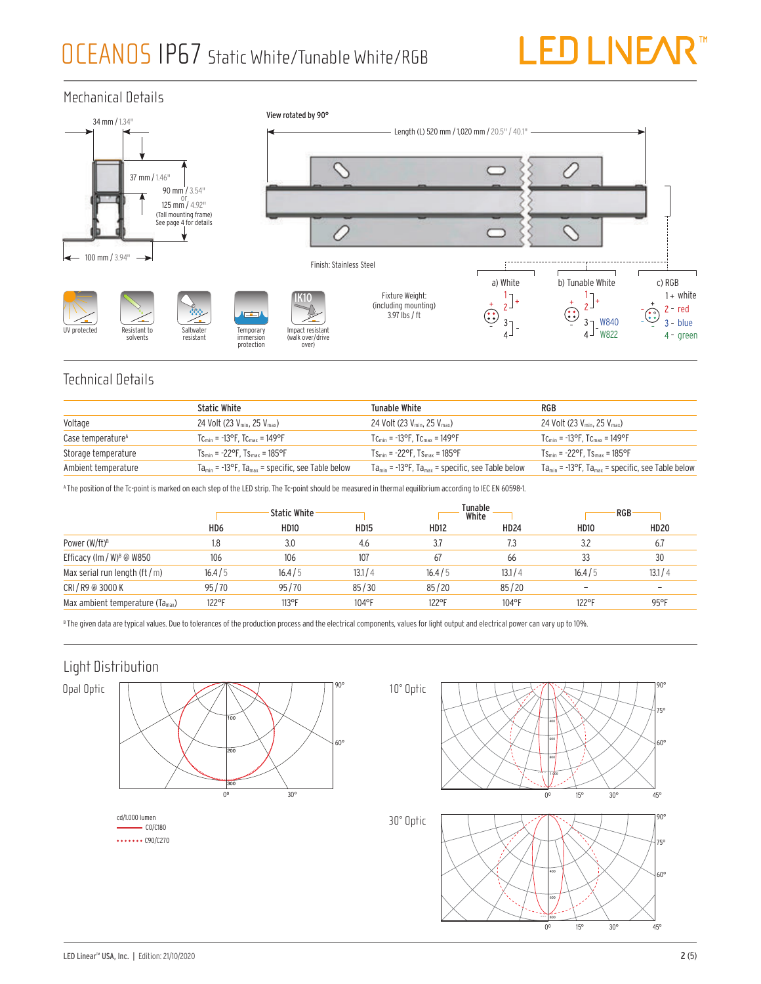

#### Mechanical Details



#### Technical Details

|                               | <b>Static White</b>                                                 | Tunable White                                                       | RGB                                                                 |
|-------------------------------|---------------------------------------------------------------------|---------------------------------------------------------------------|---------------------------------------------------------------------|
| Voltage                       | 24 Volt (23 $V_{\text{min}}$ , 25 $V_{\text{max}}$ )                | 24 Volt (23 $V_{\text{min}}$ , 25 $V_{\text{max}}$ )                | 24 Volt (23 $V_{\text{min}}$ , 25 $V_{\text{max}}$ )                |
| Case temperature <sup>A</sup> | $T_{\rm Cmin}$ = -13°F. T $_{\rm Cmax}$ = 149°F                     | $T_{\rm C_{min}}$ = -13°F, $T_{\rm C_{max}}$ = 149°F                | $T_{\rm Cmin}$ = -13°F, $T_{\rm Cmax}$ = 149°F                      |
| Storage temperature           | $Ts_{\text{min}} = -22^{\circ}F$ . $Ts_{\text{max}} = 185^{\circ}F$ | $Ts_{\text{min}} = -22^{\circ}F$ . $Ts_{\text{max}} = 185^{\circ}F$ | $Ts_{\text{min}} = -22^{\circ}F$ . $Ts_{\text{max}} = 185^{\circ}F$ |
| Ambient temperature           | $Ta_{min}$ = -13°F, $Ta_{max}$ = specific, see Table below          | $Ta_{min}$ = -13°F, $Ta_{max}$ = specific, see Table below          | $Ta_{min}$ = -13°F, $Ta_{max}$ = specific, see Table below          |

A The position of the Tc-point is marked on each step of the LED strip. The Tc-point should be measured in thermal equilibrium according to IEC EN 60598-1.

|                                              | <b>Static White</b> |             |             |             | Tunable<br>White | RGB         |                |
|----------------------------------------------|---------------------|-------------|-------------|-------------|------------------|-------------|----------------|
|                                              | HD <sub>6</sub>     | <b>HD10</b> | <b>HD15</b> | <b>HD12</b> | <b>HD24</b>      | <b>HD10</b> | <b>HD20</b>    |
| Power (W/ft) <sup>B</sup>                    | 1.8                 | 3.0         | 4.6         | 3.7         | 7.3              | 3.2         | 6.7            |
| Efficacy (lm / W) <sup>8</sup> @ W850        | 106                 | 106         | 107         | 67          | 66               | 33          | 30             |
| Max serial run length (ft $/m$ )             | 16.4/5              | 16.4/5      | 13.1/4      | 16.4/5      | 13.1/4           | 16.4/5      | 13.1/4         |
| CRI/R9 @ 3000 K                              | 95/70               | 95/70       | 85/30       | 85/20       | 85/20            |             | ۰              |
| Max ambient temperature (Ta <sub>max</sub> ) | 122°F               | $113$ °F    | 104°F       | 122°F       | 104°F            | 122°F       | $95^{\circ}$ F |

 $^{\circ}$  The given data are typical values. Due to tolerances of the production process and the electrical components, values for light output and electrical power can vary up to 10%.

#### Light Distribution

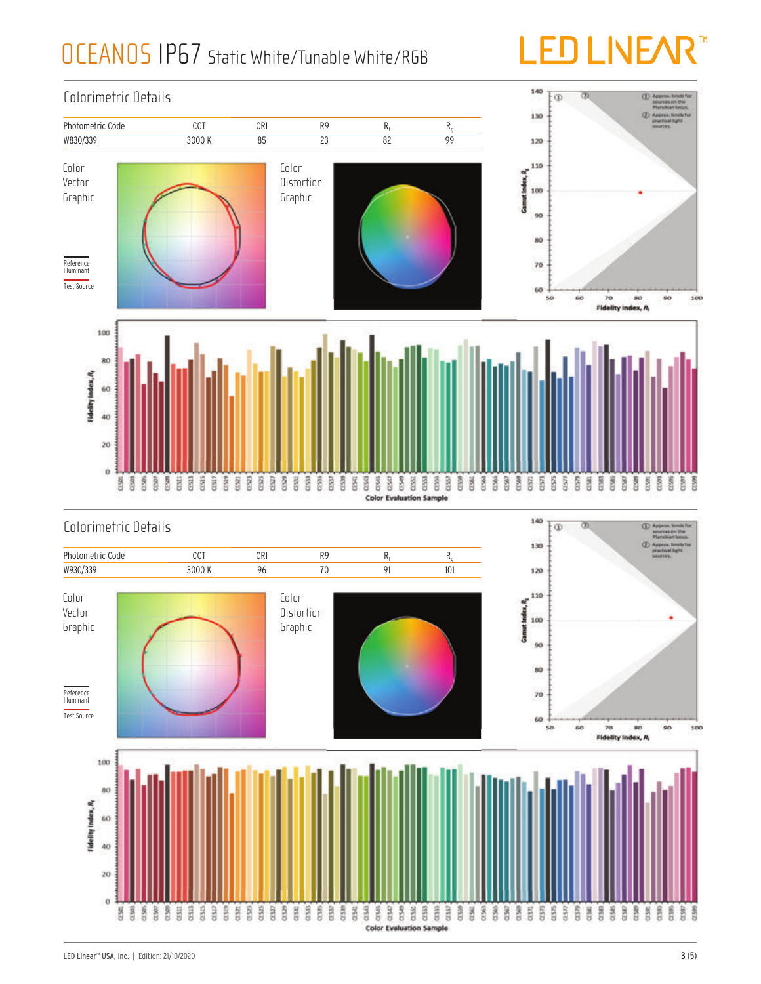## OCEANOS IP67 Static White/Tunable White/RGB

# **TM**

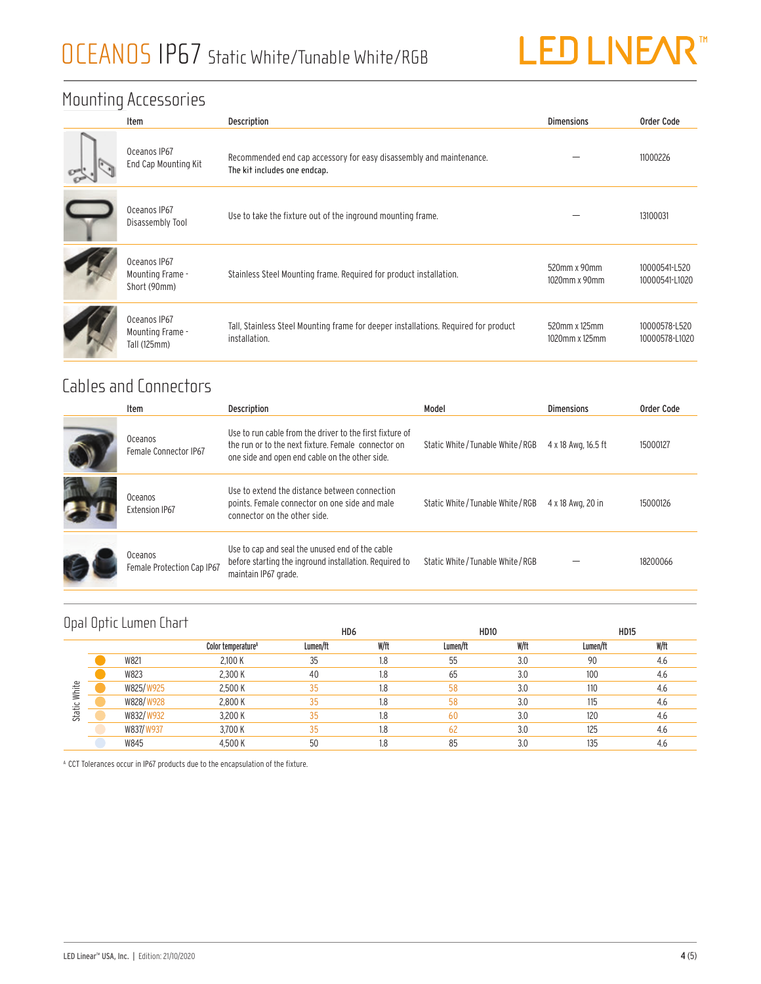

#### Mounting Accessories

| Item                                             | <b>Description</b>                                                                                   | <b>Dimensions</b>               | Order Code                      |
|--------------------------------------------------|------------------------------------------------------------------------------------------------------|---------------------------------|---------------------------------|
| Oceanos IP67<br>End Cap Mounting Kit             | Recommended end cap accessory for easy disassembly and maintenance.<br>The kit includes one endcap.  |                                 | 11000226                        |
| Oceanos IP67<br>Disassembly Tool                 | Use to take the fixture out of the inground mounting frame.                                          |                                 | 13100031                        |
| Oceanos IP67<br>Mounting Frame -<br>Short (90mm) | Stainless Steel Mounting frame. Required for product installation.                                   | 520mm x 90mm<br>1020mm x 90mm   | 10000541-L520<br>10000541-L1020 |
| Oceanos IP67<br>Mounting Frame -<br>Tall (125mm) | Tall, Stainless Steel Mounting frame for deeper installations. Required for product<br>installation. | 520mm x 125mm<br>1020mm x 125mm | 10000578-L520<br>10000578-L1020 |

### Cables and Connectors

|                                  | Item                                  | Description                                                                                                                                                       | Model                              | Dimensions          | Order Code |
|----------------------------------|---------------------------------------|-------------------------------------------------------------------------------------------------------------------------------------------------------------------|------------------------------------|---------------------|------------|
| Oceanos<br>Female Connector IP67 |                                       | Use to run cable from the driver to the first fixture of<br>the run or to the next fixture. Female connector on<br>one side and open end cable on the other side. | Static White / Tunable White / RGB | 4 x 18 Awa, 16.5 ft | 15000127   |
|                                  | Oceanos<br><b>Extension IP67</b>      | Use to extend the distance between connection<br>points. Female connector on one side and male<br>connector on the other side.                                    | Static White/Tunable White/RGB     | 4 x 18 Awg, 20 in   | 15000126   |
|                                  | Oceanos<br>Female Protection Cap IP67 | Use to cap and seal the unused end of the cable<br>before starting the inground installation. Required to<br>maintain IP67 grade.                                 | Static White / Tunable White / RGB |                     | 18200066   |

|                 | Opal Optic Lumen Chart |                                | HD <sub>6</sub> |      | <b>HD10</b> |      | <b>HD15</b> |      |
|-----------------|------------------------|--------------------------------|-----------------|------|-------------|------|-------------|------|
|                 |                        | Color temperature <sup>4</sup> | Lumen/ft        | W/ft | Lumen/ft    | W/ft | Lumen/ft    | W/ft |
|                 | W821                   | 2.100 K                        | 35              | 1.8  | 55          | 3.0  | 90          | 4.6  |
| White<br>Static | W823                   | 2,300 K                        | 40              | 1.8  | 65          | 3.0  | 100         | 4.6  |
|                 | W825/W925              | 2,500 K                        | 35              | 1.8  | 58          | 3.0  | 110         | 4.6  |
|                 | W828/W928              | 2.800 K                        | 35              | 1.8  | 58          | 3.0  | 115         | 4.6  |
|                 | W832/W932              | 3,200 K                        | 35              | 1.8  | 60          | 3.0  | 120         | 4.6  |
|                 | W837/W937              | 3.700 K                        | 35              | 1.8  | 62          | 3.0  | 125         | 4.6  |
|                 | W845                   | 4,500 K                        | 50              | 1.8  | 85          | 3.0  | 135         | 4.6  |

A CCT Tolerances occur in IP67 products due to the encapsulation of the fixture.